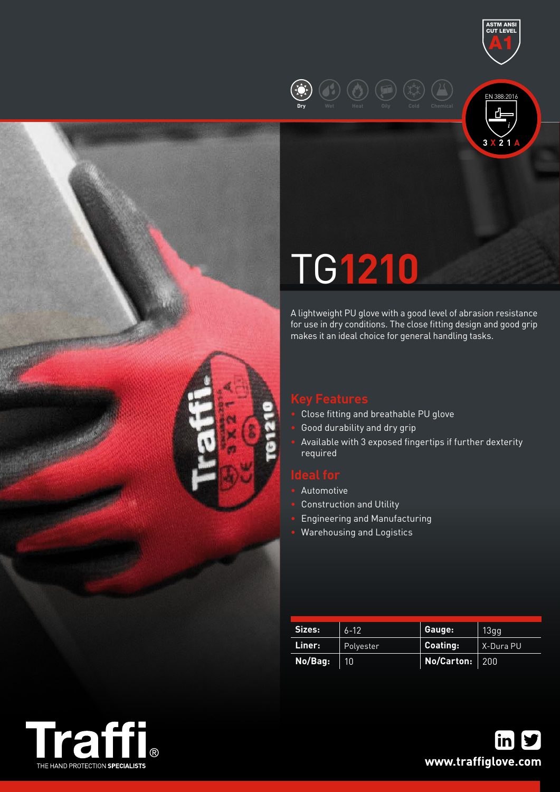





# TG**1210**

A lightweight PU glove with a good level of abrasion resistance for use in dry conditions. The close fitting design and good grip makes it an ideal choice for general handling tasks.

- Close fitting and breathable PU glove
- Good durability and dry grip
- Available with 3 exposed fingertips if further dexterity required

- Automotive
- Construction and Utility
- Engineering and Manufacturing
- Warehousing and Logistics

| Sizes:  | $6 - 12$  | Gauge:         | 13gg      |
|---------|-----------|----------------|-----------|
| Liner:  | Polyester | Coating:       | X-Dura PU |
| No/Bag: | 10        | No/Carton: 200 |           |